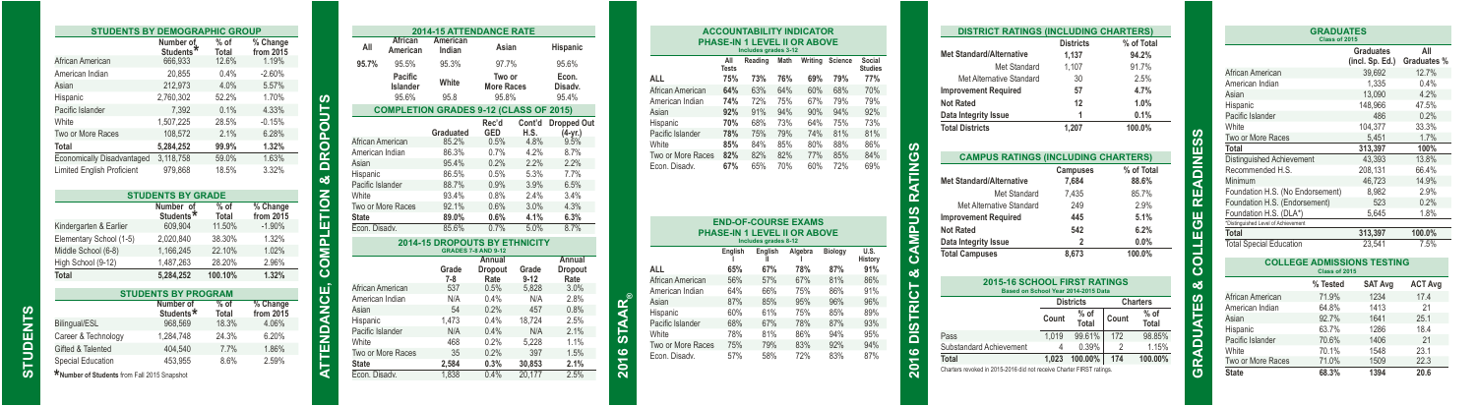|                                   | Number of<br>Students <sup>*</sup> | $%$ of<br>Total | % Change<br>from 2015         |                       |
|-----------------------------------|------------------------------------|-----------------|-------------------------------|-----------------------|
| African American                  | 666.933                            | 12.6%           | 1.19%                         |                       |
| American Indian                   | 20.855                             | 0.4%            | $-2.60%$                      |                       |
| Asian                             | 212.973                            | 4.0%            | 5.57%                         |                       |
| Hispanic                          | 2.760.302                          | 52.2%           | 1.70%                         |                       |
| Pacific Islander                  | 7.392                              | 0.1%            | 4.33%                         |                       |
| White                             | 1.507.225                          | 28.5%           | $-0.15%$                      |                       |
| Two or More Races                 | 108.572                            | 2.1%            | 6.28%                         |                       |
| Total                             | 5.284.252                          | 99.9%           | 1.32%                         |                       |
| Economically Disadvantaged        | 3,118,758                          | 59.0%           | 1.63%                         |                       |
| <b>Limited English Proficient</b> | 979.868                            | 18.5%           | 3.32%                         |                       |
|                                   |                                    |                 |                               |                       |
|                                   | <b>STUDENTS BY GRADE</b>           |                 |                               |                       |
|                                   |                                    |                 |                               |                       |
|                                   | Number of<br>Students <sup>*</sup> | $%$ of<br>Total | % Change<br>from $20\bar{1}5$ |                       |
| Kindergarten & Earlier            | 609,904                            | 11.50%          | $-1.90%$                      |                       |
| Elementary School (1-5)           | 2,020,840                          | 38.30%          | 1.32%                         |                       |
| Middle School (6-8)               | 1,166,245                          | 22.10%          | 1.02%                         |                       |
| High School (9-12)                | 1.487.263                          | 28.20%          | 2.96%                         |                       |
|                                   | 5.284.252                          | 100.10%         | 1.32%                         |                       |
| Total                             | <b>STUDENTS BY PROGRAM</b>         |                 |                               |                       |
|                                   | Number of<br>Students <sup>*</sup> | $%$ of<br>Total | % Change<br>from 2015         |                       |
| Bilingual/ESL                     | 968.569                            | 18.3%           | 4.06%                         | COMPLETION & DROPOUTS |
| Career & Technology               | 1.284.748                          | 24.3%           | 6.20%                         |                       |
| Gifted & Talented                 | 404.540                            | 7.7%            | 1.86%                         | <b>TENDANCE,</b>      |

**STUDENTS**

**STUDENTS** 

|                  |                     | <b>2014-15 ATTENDANCE RATE</b>                |                             |                   |                                   |  |
|------------------|---------------------|-----------------------------------------------|-----------------------------|-------------------|-----------------------------------|--|
| All              | African             | American                                      | Asian                       |                   | Hispanic                          |  |
|                  | American            | Indian                                        |                             |                   |                                   |  |
| 95.7%            | 95.5%               | 95.3%                                         | 97.7%                       |                   | 95.6%                             |  |
|                  | Pacific<br>Islander | White                                         | Two or<br><b>More Races</b> |                   | Econ.<br>Disady.                  |  |
|                  | 95.6%               | 95.8                                          | 95.8%                       |                   | 95.4%                             |  |
|                  |                     | <b>COMPLETION GRADES 9-12 (CLASS OF 2015)</b> |                             |                   |                                   |  |
|                  |                     | Graduated                                     | Rec'd<br>GED                | Cont'd<br>H.S.    | <b>Dropped Out</b><br>$(4 - yr.)$ |  |
| African American |                     | 85.2%                                         | 0.5%                        | 4.8%              | 9.5%                              |  |
| American Indian  |                     | 86.3%                                         | 0.7%                        | 4.2%              | 8.7%                              |  |
| Asian            |                     | 95.4%                                         | 0.2%                        | 2.2%              | 2.2%                              |  |
| Hispanic         |                     | 86.5%                                         | 0.5%                        | 5.3%              | 7.7%                              |  |
| Pacific Islander |                     | 88.7%                                         | 0.9%                        | 3.9%              | 6.5%                              |  |
| White            |                     | 93.4%                                         | 0.8%                        | 2.4%              | 3.4%                              |  |
|                  | Two or More Races   | 92.1%                                         | 0.6%                        | 3.0%              | 4.3%                              |  |
| <b>State</b>     |                     | 89.0%                                         | 0.6%                        | 4.1%              | 6.3%                              |  |
| Econ. Disadv.    |                     | 85.6%                                         | 0.7%                        | 5.0%              | 8.7%                              |  |
|                  |                     | <b>2014-15 DROPOUTS BY ETHNICITY</b>          |                             |                   |                                   |  |
|                  |                     | <b>GRADES 7-8 AND 9-12</b>                    | Annual                      |                   | Annual                            |  |
|                  |                     | Grade<br>$7 - 8$                              | Dropout<br>Rate             | Grade<br>$9 - 12$ | Dropout<br>Rate                   |  |
| African American |                     | 537                                           | 0.5%                        | 5,828             | 3.0%                              |  |
| American Indian  |                     | N/A                                           | 0.4%                        | N/A               | 2.8%                              |  |
| Asian            |                     | 54                                            | 0.2%                        | 457               | 0.8%                              |  |
| Hispanic         |                     | 1.473                                         | 0.4%                        | 18.724            | 2.5%                              |  |
| Pacific Islander |                     | N/A                                           | 0.4%                        | N/A               | 2.1%                              |  |
| White            |                     | 468                                           | 0.2%                        | 5.228             | 1.1%                              |  |
|                  | Two or More Races   | 35                                            | 0.2%                        | 397               | 1.5%                              |  |
| <b>State</b>     |                     | 2,584                                         | 0.3%                        | 30,853            | 2.1%                              |  |
| Econ. Disady.    |                     | 1.838                                         | 0.4%                        | 20.177            | 2.5%                              |  |

| PHASE-IN 1 LEVEL II OR ABOVE       | <b>ACCOUNTABILITY INDICATOR</b>                            |                      |      |            |            |                          |
|------------------------------------|------------------------------------------------------------|----------------------|------|------------|------------|--------------------------|
|                                    |                                                            |                      |      |            |            |                          |
|                                    |                                                            | Includes grades 3-12 |      |            |            |                          |
|                                    | All<br><b>Tests</b>                                        | Reading              | Math | Writing    | Science    | Social<br><b>Studies</b> |
| ALL                                | 75%                                                        | 73%                  | 76%  | 69%        | 79%        | 77%                      |
| African American                   | 64%                                                        | 63%                  | 64%  | 60%        | 68%        | 70%                      |
| American Indian                    | 74%                                                        | 72%                  | 75%  | 67%        | 79%        | 79%                      |
| Asian                              | 92%                                                        | 91%                  | 94%  | 90%        | 94%        | 92%                      |
| Hispanic                           | 70%                                                        | 68%                  | 73%  | 64%        | 75%        | 73%                      |
| Pacific Islander                   | 78%                                                        | 75%                  | 79%  | 74%        | 81%        | 81%                      |
| White                              | 85%                                                        | 84%                  | 85%  | 80%        | 88%        | 86%                      |
| Two or More Races                  | 82%                                                        | 82%                  | 82%  | 77%        | 85%        | 84%                      |
| Econ. Disady.                      | 67%                                                        | 65%                  | 70%  | 60%        | 72%        | 69%                      |
|                                    |                                                            |                      |      |            |            |                          |
|                                    | <b>END-OF-COURSE EXAMS</b><br>PHASE-IN 1 LEVEL II OR ABOVE |                      |      |            |            |                          |
|                                    |                                                            | Includes grades 8-12 |      |            |            |                          |
|                                    | English                                                    | English<br>Ш         |      | Algebra    | Biology    | U.S.<br>History          |
| ALL                                | 65%                                                        | 67%                  |      | 78%        | 87%        | 91%                      |
| African American                   | 56%                                                        | 57%                  |      | 67%        | 81%        | 86%                      |
| American Indian                    | 64%                                                        | 66%                  |      | 75%        | 86%        | 91%                      |
| Asian                              | 87%                                                        | 85%                  |      | 95%        | 96%        | 96%                      |
| Hispanic                           | 60%                                                        | 61%                  |      | 75%        | 85%        | 89%                      |
| Pacific Islander                   | 68%                                                        | 67%                  |      | 78%        | 87%        | 93%                      |
| White                              | 78%                                                        | 81%                  |      | 86%        | 94%        | 95%                      |
| Two or More Races<br>Econ. Disadv. | 75%<br>57%                                                 | 79%<br>58%           |      | 83%<br>72% | 92%<br>83% | 94%<br>87%               |

**2016 STAAR®**

 $\frac{1}{2}$ 2016

| <b>DISTRICT RATINGS (INCLUDING CHARTERS)</b>                         |                |                  |                |                 |  |
|----------------------------------------------------------------------|----------------|------------------|----------------|-----------------|--|
|                                                                      |                | <b>Districts</b> |                | % of Total      |  |
| <b>Met Standard/Alternative</b>                                      |                | 1,137            | 94.2%          |                 |  |
| Met Standard                                                         |                | 1.107            | 91.7%          |                 |  |
| Met Alternative Standard                                             |                | 30               |                | 2.5%            |  |
| <b>Improvement Required</b>                                          |                | 57               |                | 4.7%            |  |
| <b>Not Rated</b>                                                     |                | 12               |                | 1.0%            |  |
| Data Integrity Issue                                                 |                | 1                |                | 0.1%            |  |
| <b>Total Districts</b>                                               |                | 1.207            |                | 100.0%          |  |
|                                                                      |                |                  |                |                 |  |
| <b>CAMPUS RATINGS (INCLUDING CHARTERS)</b>                           |                |                  |                |                 |  |
|                                                                      |                | Campuses         |                | % of Total      |  |
| <b>Met Standard/Alternative</b>                                      | 7.684          |                  | 88.6%          |                 |  |
| Met Standard                                                         |                | 7.435            | 85.7%          |                 |  |
| Met Alternative Standard                                             |                | 249              | 2.9%           |                 |  |
| <b>Improvement Required</b>                                          |                | 445              |                | 5.1%            |  |
| <b>Not Rated</b>                                                     |                | 542              |                | 6.2%            |  |
| Data Integrity Issue                                                 | $\overline{a}$ |                  | 0.0%           |                 |  |
| <b>Total Campuses</b>                                                |                | 8.673            |                | 100.0%          |  |
|                                                                      |                |                  |                |                 |  |
| 2015-16 SCHOOL FIRST RATINGS<br>Based on School Year 2014-2015 Data  |                |                  |                |                 |  |
|                                                                      |                | <b>Districts</b> |                | <b>Charters</b> |  |
|                                                                      | Count          | $%$ of<br>Total  | Count          | $%$ of<br>Total |  |
| Pass                                                                 | 1.019          | 99.61%           | 172            | 98.85%          |  |
| Substandard Achievement                                              | 4              | 0.39%            | $\overline{2}$ | 1.15%           |  |
| Total                                                                | 1.023          | 100.00%          | 174            | 100.00%         |  |
| Charters revoked in 2015-2016 did not receive Charter FIRST ratings. |                |                  |                |                 |  |

|                                     | <b>GRADUATES</b><br>Class of 2015 |                                   |                    |  |
|-------------------------------------|-----------------------------------|-----------------------------------|--------------------|--|
|                                     |                                   | Graduates<br>(incl. Sp. Ed.)      | All<br>Graduates % |  |
| African American                    |                                   | 39.692                            | 12.7%              |  |
| American Indian                     |                                   | 1.335                             | 0.4%               |  |
| Asian                               |                                   | 13.090                            | 4.2%               |  |
| Hispanic                            |                                   | 148.966                           | 47.5%              |  |
| Pacific Islander                    |                                   | 486                               | 0.2%               |  |
| White                               |                                   | 104,377                           | 33.3%              |  |
| Two or More Races                   |                                   | 5.451                             | 1.7%               |  |
| Total                               |                                   | 313.397                           | 100%               |  |
| Distinguished Achievement           |                                   | 43.393                            | 13.8%              |  |
| Recommended H.S.                    |                                   | 208.131                           | 66.4%              |  |
| Minimum                             |                                   | 46.723                            | 14.9%              |  |
| Foundation H.S. (No Endorsement)    |                                   | 8.982                             | 2.9%               |  |
| Foundation H.S. (Endorsement)       |                                   | 523                               | 0.2%               |  |
| Foundation H.S. (DLA*)              |                                   | 5,645                             | 1.8%               |  |
| *Distinguished Level of Achievement |                                   |                                   |                    |  |
| Total                               |                                   | 313.397                           | 100.0%             |  |
| <b>Total Special Education</b>      |                                   | 23.541                            | 7.5%               |  |
|                                     | Class of 2015                     | <b>COLLEGE ADMISSIONS TESTING</b> |                    |  |
|                                     | % Tested                          | <b>SAT Avg</b>                    | <b>ACT Avg</b>     |  |
| African American                    | 71.9%                             | 1234                              | 17.4               |  |
| American Indian                     | 64.8%                             | 1413                              | 21                 |  |
| Asian                               | 92.7%                             | 1641                              | 25.1               |  |
| Hispanic                            | 63.7%                             | 1286                              | 18.4               |  |
| Pacific Islander                    | 70.6%                             | 1406                              | 21                 |  |
| White                               | 70.1%                             | 1548                              | 23.1               |  |
| Two or More Races                   | 71.0%                             | 1509                              | 22.3               |  |
| <b>State</b>                        | 68.3%                             | 1394                              | 20.6               |  |

**GRADUATES & COLLEGE READINESS**

**ADUA** 

œ **්** 

œ п

Ξ ÷  $\circ$ ပ త ທ ۳

ທ

**DINE** ⋥  $\alpha$ 11.